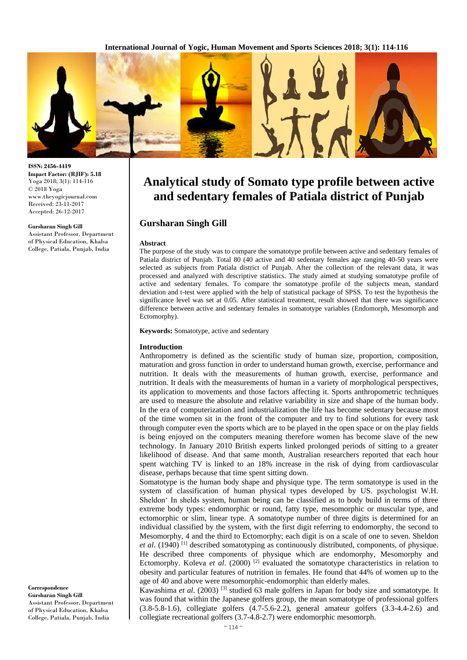

**ISSN: 2456-4419 Impact Factor: (RJIF): 5.18** Yoga 2018; 3(1): 114-116 © 2018 Yoga www.theyogicjournal.com Received: 23-11-2017 Accepted: 26-12-2017

#### **Gursharan Singh Gill**

Assistant Professor, Department of Physical Education, Khalsa College, Patiala, Punjab, India

**Analytical study of Somato type profile between active and sedentary females of Patiala district of Punjab**

# **Gursharan Singh Gill**

#### **Abstract**

The purpose of the study was to compare the somatotype profile between active and sedentary females of Patiala district of Punjab. Total 80 (40 active and 40 sedentary females age ranging 40-50 years were selected as subjects from Patiala district of Punjab. After the collection of the relevant data, it was processed and analyzed with descriptive statistics. The study aimed at studying somatotype profile of active and sedentary females. To compare the somatotype profile of the subjects mean, standard deviation and t-test were applied with the help of statistical package of SPSS. To test the hypothesis the significance level was set at 0.05. After statistical treatment, result showed that there was significance difference between active and sedentary females in somatotype variables (Endomorph, Mesomorph and Ectomorphy).

**Keywords:** Somatotype, active and sedentary

## **Introduction**

Anthropometry is defined as the scientific study of human size, proportion, composition, maturation and gross function in order to understand human growth, exercise, performance and nutrition. It deals with the measurements of human growth, exercise, performance and nutrition. It deals with the measurements of human in a variety of morphological perspectives, its application to movements and those factors affecting it. Sports anthropometric techniques are used to measure the absolute and relative variability in size and shape of the human body. In the era of computerization and industrialization the life has become sedentary because most of the time women sit in the front of the computer and try to find solutions for every task through computer even the sports which are to be played in the open space or on the play fields is being enjoyed on the computers meaning therefore women has become slave of the new technology. In January 2010 British experts linked prolonged periods of sitting to a greater likelihood of disease. And that same month, Australian researchers reported that each hour spent watching TV is linked to an 18% increase in the risk of dying from cardiovascular disease, perhaps because that time spent sitting down.

Somatotype is the human body shape and physique type. The term somatotype is used in the system of classification of human physical types developed by US. psychologist W.H. Sheldon' In shelds system, human being can be classified as to body build in terms of three extreme body types: endomorphic or round, fatty type, mesomorphic or muscular type, and ectomorphic or slim, linear type. A somatotype number of three digits is determined for an individual classified by the system, with the first digit referring to endomorphy, the second to Mesomorphy, 4 and the third to Ectomorphy; each digit is on a scale of one to seven. Sheldon et al. (1940)<sup>[1]</sup> described somatotyping as continuously distributed, components, of physique. He described three components of physique which are endomorphy, Mesomorphy and Ectomorphy. Koleva *et al*. (2000) [2] evaluated the somatotype characteristics in relation to obesity and particular features of nutrition in females. He found that 44% of women up to the age of 40 and above were mesomorphic-endomorphic than elderly males.

Kawashima *et al*. (2003) [3] studied 63 male golfers in Japan for body size and somatotype. It was found that within the Japanese golfers group, the mean somatotype of professional golfers (3.8-5.8-1.6), collegiate golfers (4.7-5.6-2.2), general amateur golfers (3.3-4.4-2.6) and collegiate recreational golfers (3.7-4.8-2.7) were endomorphic mesomorph.

**Correspondence Gursharan Singh Gill** Assistant Professor, Department of Physical Education, Khalsa College, Patiala, Punjab, India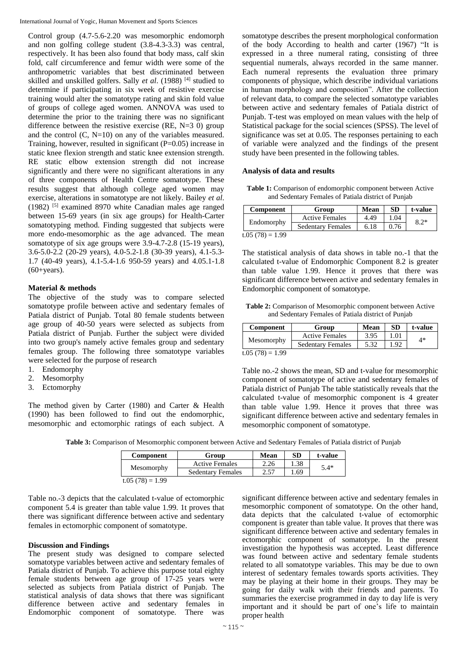Control group (4.7-5.6-2.20 was mesomorphic endomorph and non golfing college student (3.8-4.3-3.3) was central, respectively. It has been also found that body mass, calf skin fold, calf circumference and femur width were some of the anthropometric variables that best discriminated between skilled and unskilled golfers. Sally *et al*. (1988) [4] studied to determine if participating in six week of resistive exercise training would alter the somatotype rating and skin fold value of groups of college aged women. ANNOVA was used to determine the prior to the training there was no significant difference between the resistive exercise (RE,  $N=3$  0) group and the control  $(C, N=10)$  on any of the variables measured. Training, however, resulted in significant (P=0.05) increase in static knee flexion strength and static knee extension strength. RE static elbow extension strength did not increase significantly and there were no significant alterations in any of three components of Health Centre somatotype. These results suggest that although college aged women may exercise, alterations in somatotype are not likely. Bailey *et al*. (1982) [5] examined 8970 white Canadian males age ranged between 15-69 years (in six age groups) for Health-Carter somatotyping method. Finding suggested that subjects were more endo-mesomorphic as the age advanced. The mean somatotype of six age groups were 3.9-4.7-2.8 (15-19 years), 3.6-5.0-2.2 (20-29 years), 4.0-5.2-1.8 (30-39 years), 4.1-5.3- 1.7 (40-49 years), 4.1-5.4-1.6 950-59 years) and 4.05.1-1.8  $(60+years)$ .

## **Material & methods**

The objective of the study was to compare selected somatotype profile between active and sedentary females of Patiala district of Punjab. Total 80 female students between age group of 40-50 years were selected as subjects from Patiala district of Punjab. Further the subject were divided into two group's namely active females group and sedentary females group. The following three somatotype variables were selected for the purpose of research

- 1. Endomorphy
- 2. Mesomorphy
- 3. Ectomorphy

The method given by Carter (1980) and Carter & Health (1990) has been followed to find out the endomorphic, mesomorphic and ectomorphic ratings of each subject. A

somatotype describes the present morphological conformation of the body According to health and carter (1967) "It is expressed in a three numeral rating, consisting of three sequential numerals, always recorded in the same manner. Each numeral represents the evaluation three primary components of physique, which describe individual variations in human morphology and composition". After the collection of relevant data, to compare the selected somatotype variables between active and sedentary females of Patiala district of Punjab. T-test was employed on mean values with the help of Statistical package for the social sciences (SPSS). The level of significance was set at 0.05. The responses pertaining to each of variable were analyzed and the findings of the present study have been presented in the following tables.

## **Analysis of data and results**

**Table 1:** Comparison of endomorphic component between Active and Sedentary Females of Patiala district of Punjab

| Component       | Group                    | Mean | <b>SD</b> | t-value |
|-----------------|--------------------------|------|-----------|---------|
| Endomorphy      | <b>Active Females</b>    | 4.49 | 1.04      | $8.2*$  |
|                 | <b>Sedentary Females</b> | 6.18 | 0.76      |         |
| $+05(78) - 100$ |                          |      |           |         |

t.05  $(78) = 1.99$ 

The statistical analysis of data shows in table no.-1 that the calculated t-value of Endomorphic Component 8.2 is greater than table value 1.99. Hence it proves that there was significant difference between active and sedentary females in Endomorphic component of somatotype.

| Table 2: Comparison of Mesomorphic component between Active |  |
|-------------------------------------------------------------|--|
| and Sedentary Females of Patiala district of Punjab         |  |

| <b>Component</b> | Group                    | Mean | <b>SD</b> | t-value |
|------------------|--------------------------|------|-----------|---------|
| Mesomorphy       | <b>Active Females</b>    | 3.95 |           | $4*$    |
|                  | <b>Sedentary Females</b> | 5.32 |           |         |

t.05 (78) =  $1.99$ 

Table no.-2 shows the mean, SD and t-value for mesomorphic component of somatotype of active and sedentary females of Patiala district of Punjab The table statistically reveals that the calculated t-value of mesomorphic component is 4 greater than table value 1.99. Hence it proves that three was significant difference between active and sedentary females in mesomorphic component of somatotype.

**Table 3:** Comparison of Mesomorphic component between Active and Sedentary Females of Patiala district of Punjab

| <b>Component</b>  | Group                    | Mean | <b>SD</b> | t-value |
|-------------------|--------------------------|------|-----------|---------|
| Mesomorphy        | <b>Active Females</b>    | 2.26 | 1.38      | $5.4*$  |
|                   | <b>Sedentary Females</b> | 2.57 | .69       |         |
| $t.05(78) = 1.99$ |                          |      |           |         |

Table no.-3 depicts that the calculated t-value of ectomorphic component 5.4 is greater than table value 1.99. 1t proves that there was significant difference between active and sedentary females in ectomorphic component of somatotype.

## **Discussion and Findings**

The present study was designed to compare selected somatotype variables between active and sedentary females of Patiala district of Punjab. To achieve this purpose total eighty female students between age group of 17-25 years were selected as subjects from Patiala district of Punjab. The statistical analysis of data shows that there was significant difference between active and sedentary females in Endomorphic component of somatotype. There was

significant difference between active and sedentary females in mesomorphic component of somatotype. On the other hand, data depicts that the calculated t-value of ectomorphic component is greater than table value. It proves that there was significant difference between active and sedentary females in ectomorphic component of somatotype. In the present investigation the hypothesis was accepted. Least difference was found between active and sedentary female students related to all somatotype variables. This may be due to own interest of sedentary females towards sports activities. They may be playing at their home in their groups. They may be going for daily walk with their friends and parents. To summaries the exercise programmed in day to day life is very important and it should be part of one's life to maintain proper health